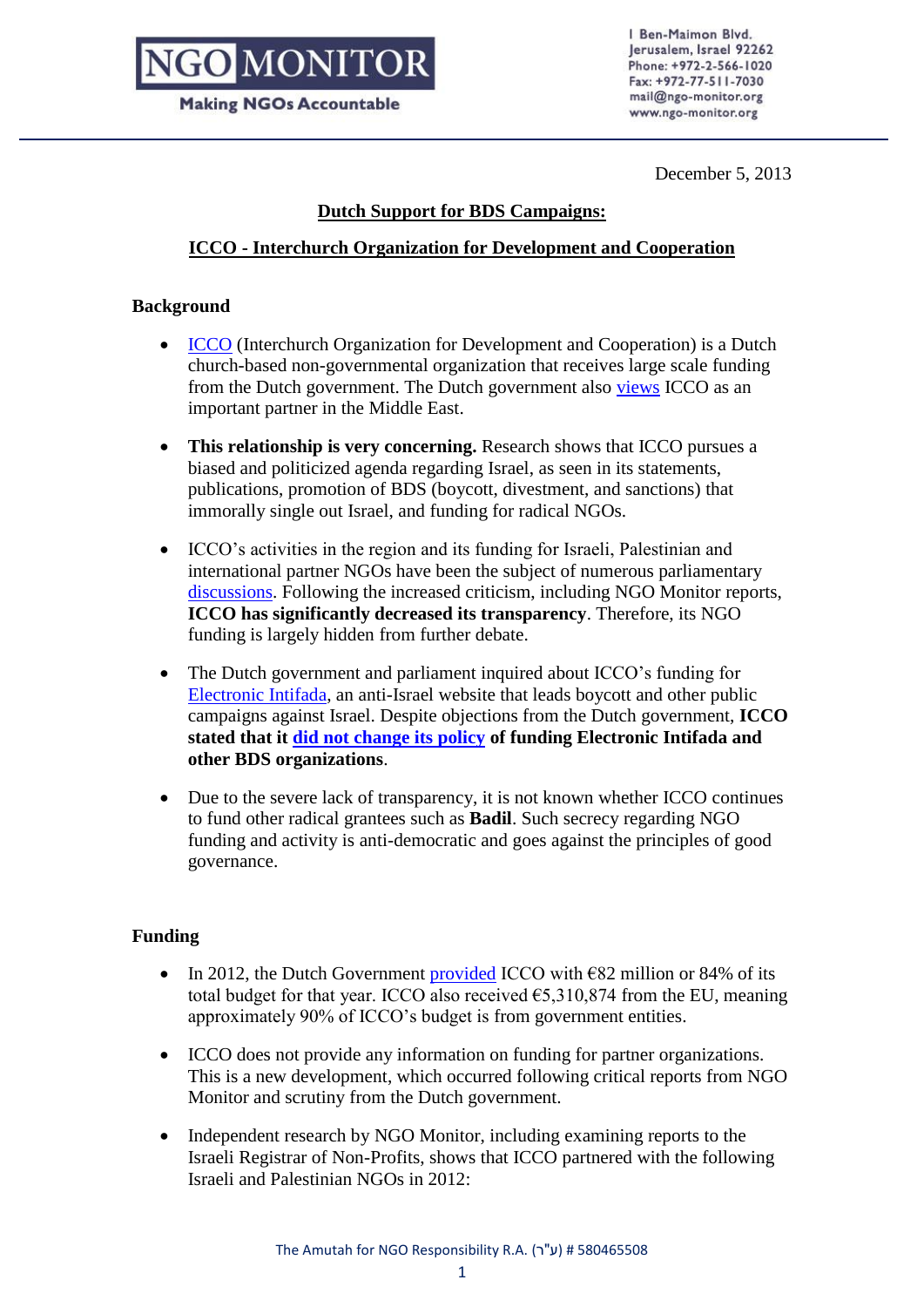# **DIMONITOR**

**Making NGOs Accountable** 

I Ben-Maimon Blvd. lerusalem, Israel 92262 Phone: +972-2-566-1020 Fax: +972-77-511-7030 mail@ngo-monitor.org www.ngo-monitor.org

December 5, 2013

### **Dutch Support for BDS Campaigns:**

### **ICCO - Interchurch Organization for Development and Cooperation**

### **Background**

- [ICCO](http://ngo-monitor.org/article/interchurch_organization_for_development_cooperation_icco_) (Interchurch Organization for Development and Cooperation) is a Dutch church-based non-governmental organization that receives large scale funding from the Dutch government. The Dutch government also [views](http://pal.nlmission.org/development-cooperation/partners-in-development-cooperation-in-the-palestinian-territory.html) ICCO as an important partner in the Middle East.
- **This relationship is very concerning.** Research shows that ICCO pursues a biased and politicized agenda regarding Israel, as seen in its statements, publications, promotion of BDS (boycott, divestment, and sanctions) that immorally single out Israel, and funding for radical NGOs.
- ICCO's activities in the region and its funding for Israeli, Palestinian and international partner NGOs have been the subject of numerous parliamentary [discussions.](https://zoek.officielebekendmakingen.nl/kst-23432-323.html?zoekcriteria=%3fzkt%3dEenvoudig%26pst%3d%26vrt%3delectronic%2bintifada%26zkd%3dInDeGeheleText%26dpr%3dAfgelopenDag%26sdt%3dDatumBrief%26ap%3d%26pnr%3d1%26rpp%3d10&resultIndex=1&sorttype=1&sortorder=4) Following the increased criticism, including NGO Monitor reports, **ICCO has significantly decreased its transparency**. Therefore, its NGO funding is largely hidden from further debate.
- The Dutch government and parliament inquired about ICCO's funding for [Electronic Intifada,](http://ngo-monitor.org/article/electronic_intifada) an anti-Israel website that leads boycott and other public campaigns against Israel. Despite objections from the Dutch government, **ICCO stated that it [did not change its policy](http://www.eenanderjoodsgeluid.nl/index.asp?navitemid=73&type=3&item=3223) of funding Electronic Intifada and other BDS organizations**.
- Due to the severe lack of transparency, it is not known whether ICCO continues to fund other radical grantees such as **Badil**. Such secrecy regarding NGO funding and activity is anti-democratic and goes against the principles of good governance.

### **Funding**

- In 2012, the Dutch Government [provided](http://www.icco.nl/nl/linkservid/962F03F8-DEF6-0FFB-9A25697987AE0B7E/showMeta/0/) ICCO with  $\epsilon$ 82 million or 84% of its total budget for that year. ICCO also received  $65.310.874$  from the EU, meaning approximately 90% of ICCO's budget is from government entities.
- ICCO does not provide any information on funding for partner organizations. This is a new development, which occurred following critical reports from NGO Monitor and scrutiny from the Dutch government.
- Independent research by NGO Monitor, including examining reports to the Israeli Registrar of Non-Profits, shows that ICCO partnered with the following Israeli and Palestinian NGOs in 2012: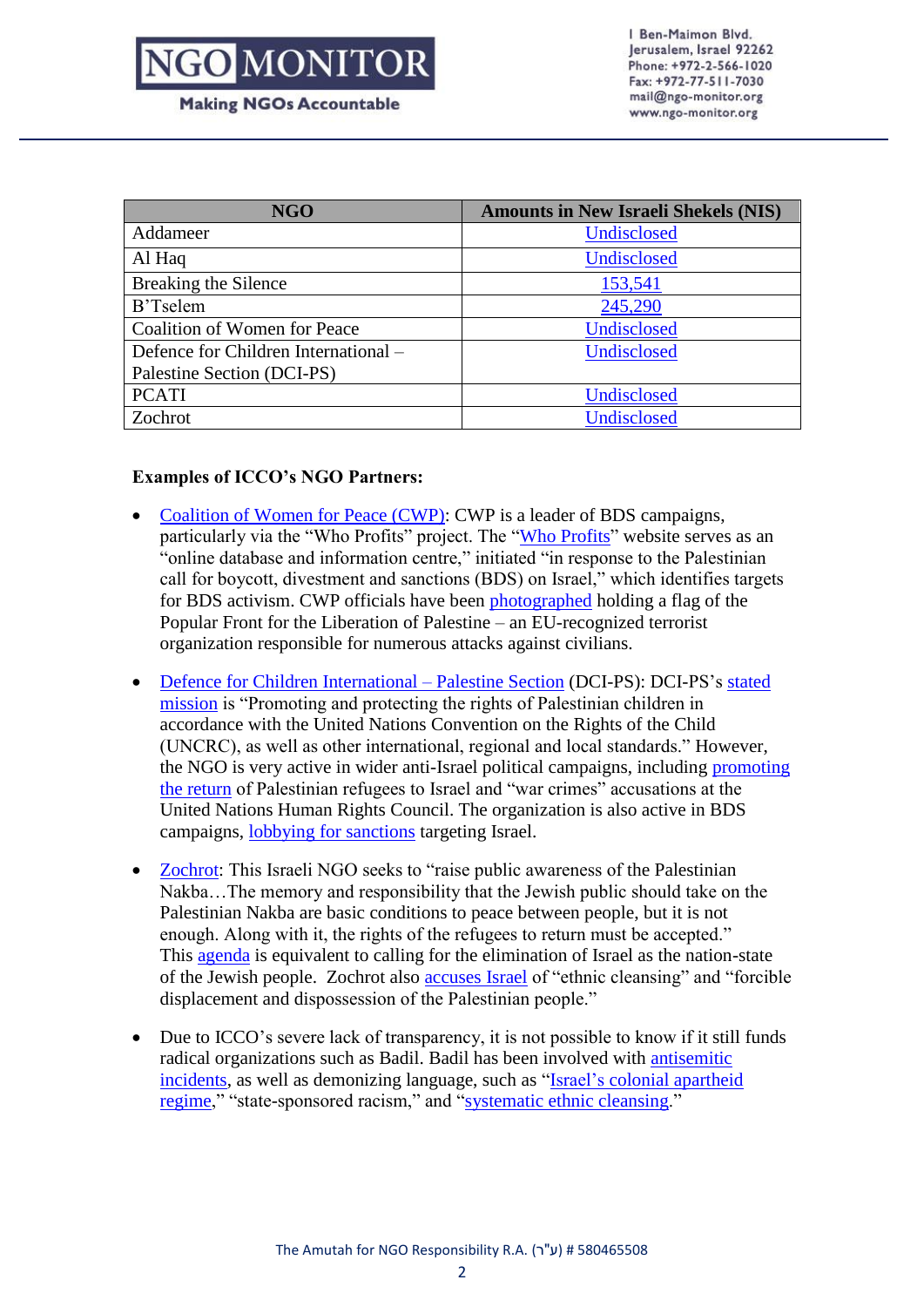## **NGO MONITOR**

I Ben-Maimon Blvd. lerusalem, Israel 92262 Phone: +972-2-566-1020 Fax: +972-77-511-7030 mail@ngo-monitor.org www.ngo-monitor.org

|  |  | <b>Making NGOs Accountable</b> |  |
|--|--|--------------------------------|--|
|--|--|--------------------------------|--|

| <b>NGO</b>                           | <b>Amounts in New Israeli Shekels (NIS)</b> |
|--------------------------------------|---------------------------------------------|
| Addameer                             | Undisclosed                                 |
| Al Haq                               | Undisclosed                                 |
| Breaking the Silence                 | 153,541                                     |
| B'Tselem                             | 245,290                                     |
| <b>Coalition of Women for Peace</b>  | Undisclosed                                 |
| Defence for Children International - | Undisclosed                                 |
| Palestine Section (DCI-PS)           |                                             |
| <b>PCATI</b>                         | Undisclosed                                 |
| Zochrot                              | Undisclosed                                 |

### **Examples of ICCO's NGO Partners:**

- [Coalition of Women for Peace \(CWP\):](http://www.ngo-monitor.org/article/coalition_of_women_for_peace) CWP is a leader of BDS campaigns, particularly via the "Who Profits" project. The ["Who Profits"](http://www.whoprofits.org/) website serves as an "online database and information centre," initiated "in response to the Palestinian call for boycott, divestment and sanctions (BDS) on Israel," which identifies targets for BDS activism. CWP officials have been [photographed](http://www.ngo-monitor.org.il/data/images/Image/cwppflp.jpg) holding a flag of the Popular Front for the Liberation of Palestine – an EU-recognized terrorist organization responsible for numerous attacks against civilians.
- [Defence for Children International –](http://www.ngo-monitor.org/article/defence_for_children_international_palestine_section_dci_ps_summary_report_on_political_advocacy_and_credibility_of_allegations) Palestine Section (DCI-PS): DCI-PS's [stated](http://www.dci-palestine.org/content/organisation-profile)  [mission](http://www.dci-palestine.org/content/organisation-profile) is "Promoting and protecting the rights of Palestinian children in accordance with the United Nations Convention on the Rights of the Child (UNCRC), as well as other international, regional and local standards." However, the NGO is very active in wider anti-Israel political campaigns, including [promoting](http://www.dci-pal.org/english/display.cfm?DocId=1152&CategoryId=1)  [the return](http://www.dci-pal.org/english/display.cfm?DocId=1152&CategoryId=1) of Palestinian refugees to Israel and "war crimes" accusations at the United Nations Human Rights Council. The organization is also active in BDS campaigns, [lobbying for sanctions](http://www.dci-pal.org/english/display.cfm?DocId=1498&CategoryId=1) targeting Israel.
- [Zochrot:](http://www.ngo-monitor.org/article/zochrot) This Israeli NGO seeks to "raise public awareness of the Palestinian Nakba…The memory and responsibility that the Jewish public should take on the Palestinian Nakba are basic conditions to peace between people, but it is not enough. Along with it, the rights of the refugees to return must be accepted." This [agenda](http://zochrot.org/en/menu/%D7%96%D7%95%D7%9B%D7%A8%D7%95%D7%AA/%D7%9E%D7%99-%D7%90%D7%A0%D7%97%D7%A0%D7%95) is equivalent to calling for the elimination of Israel as the nation-state of the Jewish people. Zochrot also [accuses Israel](http://lib.ohchr.org/HRBodies/UPR/Documents/Session3/IL/BADIL_ISR_UPR_S3_2008_BADILResourceCenterforPalestinianResidencyandRefugeeRights_Etal_uprsubmission.pdf) of "ethnic cleansing" and "forcible displacement and dispossession of the Palestinian people."
- Due to ICCO's severe lack of transparency, it is not possible to know if it still funds radical organizations such as Badil. Badil has been involved with [antisemitic](http://www.ngo-monitor.org/article/badil_s_antisemitic_cartoon_questions_for_danchurchaid_trocaire_and_funders)  [incidents,](http://www.ngo-monitor.org/article/badil_s_antisemitic_cartoon_questions_for_danchurchaid_trocaire_and_funders) as well as demonizing language, such as ["Israel's colonial apartheid](http://www.badil.org/en/press-releases/135-2010/2140-majdal-43-release)  [regime,](http://www.badil.org/en/press-releases/135-2010/2140-majdal-43-release)" "state-sponsored racism," and ["systematic ethnic cleansing.](http://www.un.org/webcast/unhrc/archive.asp?go=081016)"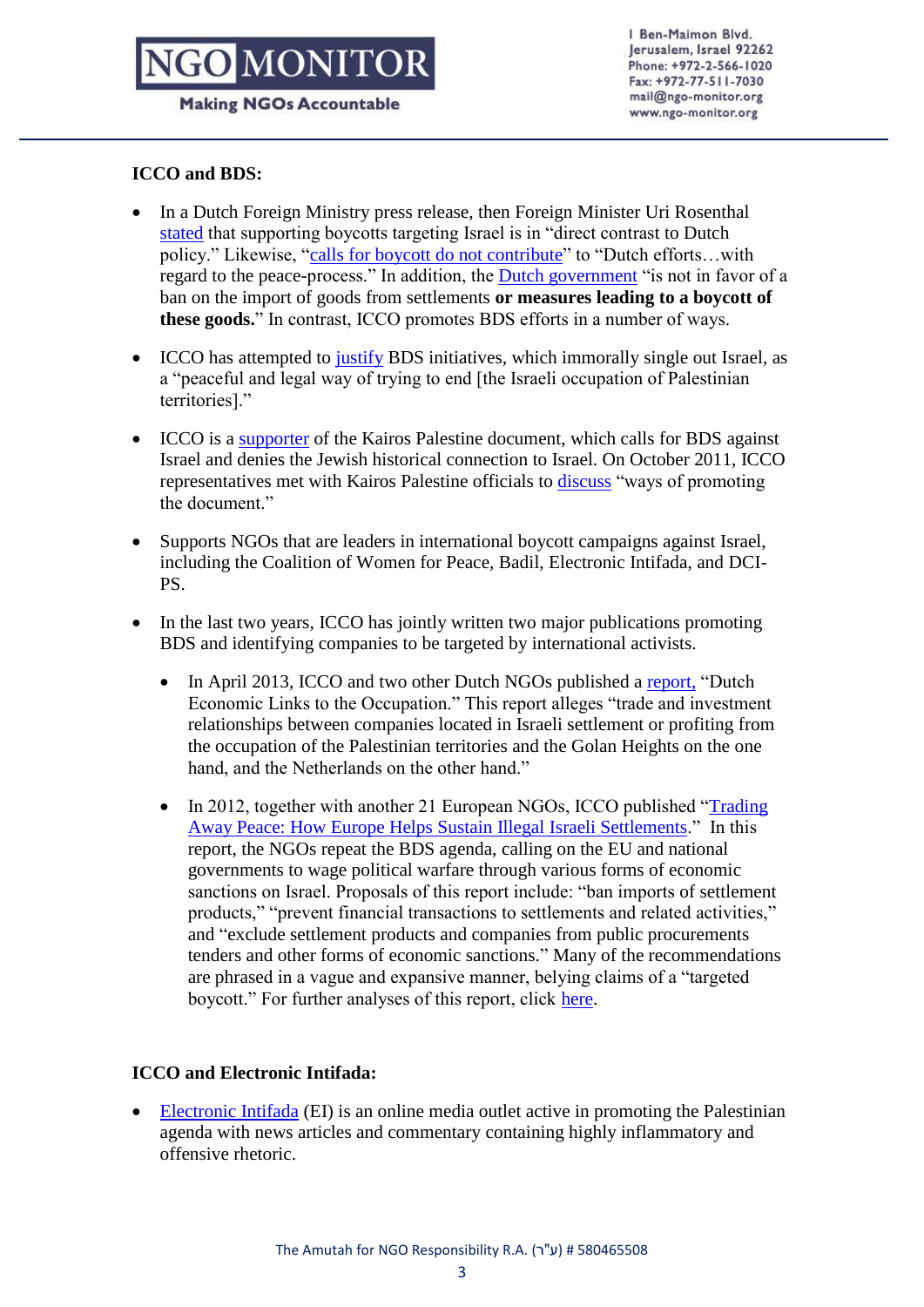## **D**MONITO

I Ben-Maimon Blvd. lerusalem, Israel 92262 Phone: +972-2-566-1020 Fax: +972-77-511-7030 mail@ngo-monitor.org www.ngo-monitor.org

#### **Making NGOs Accountable**

### **ICCO and BDS:**

- In a Dutch Foreign Ministry press release, then Foreign Minister Uri Rosenthal [stated](http://www.rijksoverheid.nl/nieuws/2011/01/13/rosenthal-heeft-pittig-gesprek-met-icco.html) that supporting boycotts targeting Israel is in "direct contrast to Dutch policy." Likewise, ["calls for boycott do not contribute"](http://www.rijksoverheid.nl/bestanden/documenten-en-publicaties/kamerstukken/2011/08/22/beantwoording-vragen-over-de-door-het-israelische-parlement-aangenomen-antiboycotwet/beantwoording-vragen-over-de-door-het-israelische-parlement-aangenomen-antiboycotwet.pdf) to "Dutch efforts…with regard to the peace-process." In addition, the [Dutch government](https://zoek.officielebekendmakingen.nl/kst-23432-351.html?zoekcriteria=%3fzkt%3dEenvoudig%26pst%3d%26vrt%3disrael%2betiketten%26zkd%3dInDeGeheleText%26dpr%3dAfgelopenDag%26sdt%3dDatumBrief%26ap%3d%26pnr%3d1%26rpp%3d10&resultIndex=3&sorttype=1&sortorder=4) "is not in favor of a ban on the import of goods from settlements **or measures leading to a boycott of these goods.**" In contrast, ICCO promotes BDS efforts in a number of ways.
- ICCO has attempted to [justify](http://www.icco.nl/nl/linkservid/06168C20-0F38-F030-B155B5648B6D289E/showMeta/0/) BDS initiatives, which immorally single out Israel, as a "peaceful and legal way of trying to end [the Israeli occupation of Palestinian territories]."
- ICCO is a [supporter](http://www.eenanderjoodsgeluid.nl/index.asp?navitemid=73&type=3&item=3223http://www.kairospalestine.ps/?q=node/22) of the Kairos Palestine document, which calls for BDS against Israel and denies the Jewish historical connection to Israel. On October 2011, ICCO representatives met with Kairos Palestine officials to [discuss](http://www.kairospalestine.ps/?q=node/22) "ways of promoting the document."
- Supports NGOs that are leaders in international boycott campaigns against Israel, including the Coalition of Women for Peace, Badil, Electronic Intifada, and DCI-PS.
- In the last two years, ICCO has jointly written two major publications promoting BDS and identifying companies to be targeted by international activists.
	- In April 2013, ICCO and two other Dutch NGOs published a [report,](http://icco.nl/nl/linkservid/1D72A8EA-B208-3BF1-34E2972CD36E4613/showMeta/0/) "Dutch Economic Links to the Occupation." This report alleges "trade and investment relationships between companies located in Israeli settlement or profiting from the occupation of the Palestinian territories and the Golan Heights on the one hand, and the Netherlands on the other hand."
	- In 2012, together with another 21 European NGOs, ICCO published ["Trading](http://www.fidh.org/IMG/pdf/trading_away_peace_-_embargoed_copy_of_designed_report.pdf)  [Away Peace: How Europe Helps Sustain Illegal Israeli Settlements.](http://www.fidh.org/IMG/pdf/trading_away_peace_-_embargoed_copy_of_designed_report.pdf)" In this report, the NGOs repeat the BDS agenda, calling on the EU and national governments to wage political warfare through various forms of economic sanctions on Israel. Proposals of this report include: "ban imports of settlement products," "prevent financial transactions to settlements and related activities," and "exclude settlement products and companies from public procurements tenders and other forms of economic sanctions." Many of the recommendations are phrased in a vague and expansive manner, belying claims of a "targeted boycott." For further analyses of this report, click [here.](http://www.ngo-monitor.org/article/_trading_away_peace_how_biased_political_ngos_fuel_conflict)

#### **ICCO and Electronic Intifada:**

 [Electronic Intifada](http://ngo-monitor.org/article/electronic_intifada) (EI) is an online media outlet active in promoting the Palestinian agenda with news articles and commentary containing highly inflammatory and offensive rhetoric.